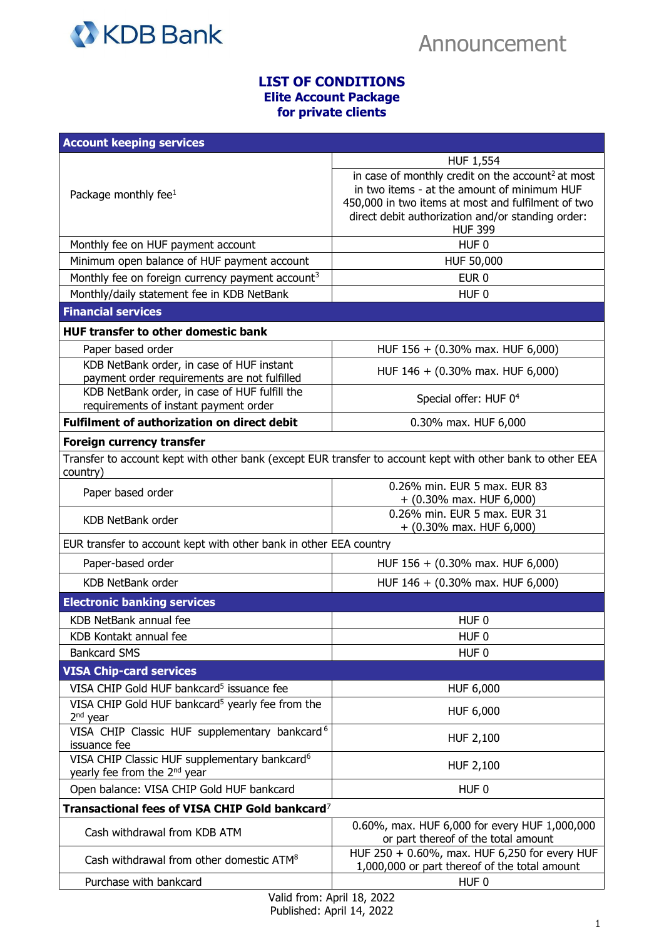

## **LIST OF CONDITIONS Elite Account Package for private clients**

| <b>Account keeping services</b>                                                                                        |                                                                                                                                                                                                                                           |  |
|------------------------------------------------------------------------------------------------------------------------|-------------------------------------------------------------------------------------------------------------------------------------------------------------------------------------------------------------------------------------------|--|
|                                                                                                                        | <b>HUF 1,554</b>                                                                                                                                                                                                                          |  |
| Package monthly fee $1$                                                                                                | in case of monthly credit on the account <sup>2</sup> at most<br>in two items - at the amount of minimum HUF<br>450,000 in two items at most and fulfilment of two<br>direct debit authorization and/or standing order:<br><b>HUF 399</b> |  |
| Monthly fee on HUF payment account                                                                                     | HUF <sub>0</sub>                                                                                                                                                                                                                          |  |
| Minimum open balance of HUF payment account                                                                            | HUF 50,000                                                                                                                                                                                                                                |  |
| Monthly fee on foreign currency payment account <sup>3</sup>                                                           | EUR <sub>0</sub>                                                                                                                                                                                                                          |  |
| Monthly/daily statement fee in KDB NetBank                                                                             | HUF <sub>0</sub>                                                                                                                                                                                                                          |  |
| <b>Financial services</b>                                                                                              |                                                                                                                                                                                                                                           |  |
| <b>HUF transfer to other domestic bank</b>                                                                             |                                                                                                                                                                                                                                           |  |
| Paper based order                                                                                                      | HUF 156 + (0.30% max. HUF 6,000)                                                                                                                                                                                                          |  |
| KDB NetBank order, in case of HUF instant<br>payment order requirements are not fulfilled                              | HUF 146 + (0.30% max. HUF 6,000)                                                                                                                                                                                                          |  |
| KDB NetBank order, in case of HUF fulfill the<br>requirements of instant payment order                                 | Special offer: HUF 0 <sup>4</sup>                                                                                                                                                                                                         |  |
| <b>Fulfilment of authorization on direct debit</b>                                                                     | 0.30% max. HUF 6,000                                                                                                                                                                                                                      |  |
| Foreign currency transfer                                                                                              |                                                                                                                                                                                                                                           |  |
| Transfer to account kept with other bank (except EUR transfer to account kept with other bank to other EEA<br>country) |                                                                                                                                                                                                                                           |  |
| Paper based order                                                                                                      | 0.26% min. EUR 5 max. EUR 83<br>$+$ (0.30% max. HUF 6,000)                                                                                                                                                                                |  |
| <b>KDB NetBank order</b>                                                                                               | 0.26% min. EUR 5 max. EUR 31<br>$+$ (0.30% max. HUF 6,000)                                                                                                                                                                                |  |
| EUR transfer to account kept with other bank in other EEA country                                                      |                                                                                                                                                                                                                                           |  |
| Paper-based order                                                                                                      | HUF 156 + (0.30% max. HUF 6,000)                                                                                                                                                                                                          |  |
| <b>KDB NetBank order</b>                                                                                               | HUF 146 + (0.30% max. HUF 6,000)                                                                                                                                                                                                          |  |
| <b>Electronic banking services</b>                                                                                     |                                                                                                                                                                                                                                           |  |
| KDB NetBank annual fee                                                                                                 | HUF <sub>0</sub>                                                                                                                                                                                                                          |  |
| KDB Kontakt annual fee                                                                                                 | HUF <sub>0</sub>                                                                                                                                                                                                                          |  |
| <b>Bankcard SMS</b>                                                                                                    | HUF <sub>0</sub>                                                                                                                                                                                                                          |  |
| <b>VISA Chip-card services</b>                                                                                         |                                                                                                                                                                                                                                           |  |
| VISA CHIP Gold HUF bankcard <sup>5</sup> issuance fee                                                                  | HUF 6,000                                                                                                                                                                                                                                 |  |
| VISA CHIP Gold HUF bankcard <sup>5</sup> yearly fee from the<br>2 <sup>nd</sup> year                                   | HUF 6,000                                                                                                                                                                                                                                 |  |
| VISA CHIP Classic HUF supplementary bankcard <sup>6</sup><br>issuance fee                                              | HUF 2,100                                                                                                                                                                                                                                 |  |
| VISA CHIP Classic HUF supplementary bankcard <sup>6</sup><br>yearly fee from the 2 <sup>nd</sup> year                  | HUF 2,100                                                                                                                                                                                                                                 |  |
| Open balance: VISA CHIP Gold HUF bankcard                                                                              | HUF <sub>0</sub>                                                                                                                                                                                                                          |  |
| Transactional fees of VISA CHIP Gold bankcard <sup>7</sup>                                                             |                                                                                                                                                                                                                                           |  |
| Cash withdrawal from KDB ATM                                                                                           | 0.60%, max. HUF 6,000 for every HUF 1,000,000<br>or part thereof of the total amount                                                                                                                                                      |  |
| Cash withdrawal from other domestic ATM <sup>8</sup>                                                                   | HUF 250 + 0.60%, max. HUF 6,250 for every HUF<br>1,000,000 or part thereof of the total amount                                                                                                                                            |  |
| Purchase with bankcard                                                                                                 | HUF <sub>0</sub>                                                                                                                                                                                                                          |  |
|                                                                                                                        |                                                                                                                                                                                                                                           |  |